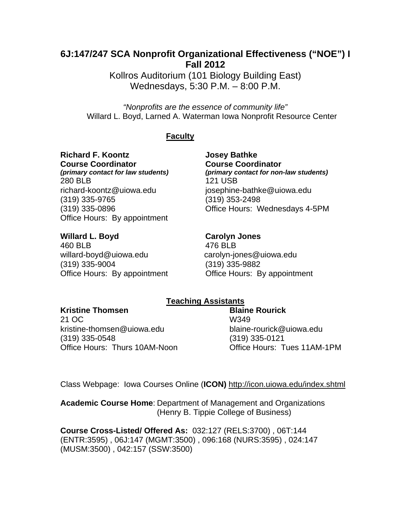# **6J:147/247 SCA Nonprofit Organizational Effectiveness ("NOE") I Fall 2012**

Kollros Auditorium (101 Biology Building East) Wednesdays, 5:30 P.M. – 8:00 P.M.

*"Nonprofits are the essence of community life"*  Willard L. Boyd, Larned A. Waterman Iowa Nonprofit Resource Center

# **Faculty**

**Richard F. Koontz Josey Bathke Course Coordinator Course Coordinator**  280 BLB 121 USB richard-koontz@uiowa.edu josephine-bathke@uiowa.edu (319) 335-9765 (319) 353-2498 Office Hours: By appointment

*(primary contact for law students) (primary contact for non-law students)*  (319) 335-0896 Office Hours: Wednesdays 4-5PM

Willard L. Boyd **Carolyn Jones** 460 BLB 476 BLB willard-boyd@uiowa.edu carolyn-jones@uiowa.edu (319) 335-9004 (319) 335-9882 Office Hours: By appointment **Office Hours: By appointment** 

# **Teaching Assistants**

# **Kristine Thomsen Communisty Communisty Blaine Rourick**

21 OC W349 kristine-thomsen@uiowa.edu blaine-rourick@uiowa.edu (319) 335-0548 (319) 335-0121 Office Hours: Thurs 10AM-Noon Office Hours: Tues 11AM-1PM

Class Webpage: Iowa Courses Online (**ICON)** http://icon.uiowa.edu/index.shtml

**Academic Course Home**: Department of Management and Organizations (Henry B. Tippie College of Business)

 **Course Cross-Listed/ Offered As:** 032:127 (RELS:3700) , 06T:144 (ENTR:3595) , 06J:147 (MGMT:3500) , 096:168 (NURS:3595) , 024:147 (MUSM:3500) , 042:157 (SSW:3500)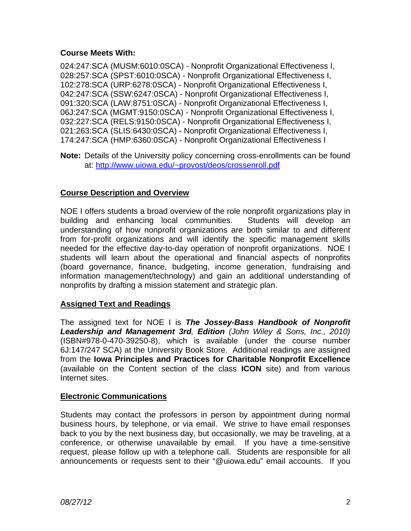# **Course Meets With:**

024:247:SCA (MUSM:6010:0SCA) - Nonprofit Organizational Effectiveness I, 028:257:SCA (SPST:6010:0SCA) - Nonprofit Organizational Effectiveness I, 102:278:SCA (URP:6278:0SCA) - Nonprofit Organizational Effectiveness I, 042:247:SCA (SSW:6247:0SCA) - Nonprofit Organizational Effectiveness I, 091:320:SCA (LAW:8751:0SCA) - Nonprofit Organizational Effectiveness I, 06J:247:SCA (MGMT:9150:0SCA) - Nonprofit Organizational Effectiveness I, 032:227:SCA (RELS:9150:0SCA) - Nonprofit Organizational Effectiveness I, 021:263:SCA (SLIS:6430:0SCA) - Nonprofit Organizational Effectiveness I, 174:247:SCA (HMP:6360:0SCA) - Nonprofit Organizational Effectiveness I

 **Note:** Details of the University policy concerning cross-enrollments can be found at: http://www.uiowa.edu/~provost/deos/crossenroll.pdf

# **Course Description and Overview**

NOE I offers students a broad overview of the role nonprofit organizations play in building and enhancing local communities. Students will develop an understanding of how nonprofit organizations are both similar to and different from for-profit organizations and will identify the specific management skills needed for the effective day-to-day operation of nonprofit organizations. NOE I students will learn about the operational and financial aspects of nonprofits (board governance, finance, budgeting, income generation, fundraising and information management/technology) and gain an additional understanding of nonprofits by drafting a mission statement and strategic plan.

# **Assigned Text and Readings**

The assigned text for NOE I is *The Jossey-Bass Handbook of Nonprofit Leadership and Management 3rd, Edition (John Wiley & Sons, Inc., 2010)*  (ISBN#978-0-470-39250-8), which is available (under the course number 6J:147/247 SCA) at the University Book Store. Additional readings are assigned from the **Iowa Principles and Practices for Charitable Nonprofit Excellence** (available on the Content section of the class **ICON** site) and from various Internet sites.

# **Electronic Communications**

Students may contact the professors in person by appointment during normal business hours, by telephone, or via email. We strive to have email responses back to you by the next business day, but occasionally, we may be traveling, at a conference, or otherwise unavailable by email. If you have a time-sensitive request, please follow up with a telephone call. Students are responsible for all announcements or requests sent to their "@uiowa.edu" email accounts. If you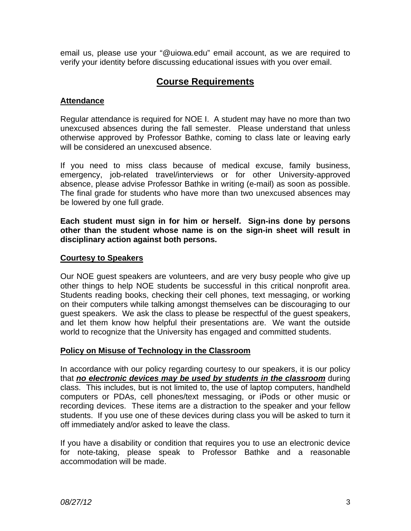email us, please use your "@uiowa.edu" email account, as we are required to verify your identity before discussing educational issues with you over email.

# **Course Requirements**

# **Attendance**

Regular attendance is required for NOE I. A student may have no more than two unexcused absences during the fall semester. Please understand that unless otherwise approved by Professor Bathke, coming to class late or leaving early will be considered an unexcused absence.

If you need to miss class because of medical excuse, family business, emergency, job-related travel/interviews or for other University-approved absence, please advise Professor Bathke in writing (e-mail) as soon as possible. The final grade for students who have more than two unexcused absences may be lowered by one full grade.

**Each student must sign in for him or herself. Sign-ins done by persons other than the student whose name is on the sign-in sheet will result in disciplinary action against both persons.** 

# **Courtesy to Speakers**

Our NOE guest speakers are volunteers, and are very busy people who give up other things to help NOE students be successful in this critical nonprofit area. Students reading books, checking their cell phones, text messaging, or working on their computers while talking amongst themselves can be discouraging to our guest speakers. We ask the class to please be respectful of the guest speakers, and let them know how helpful their presentations are. We want the outside world to recognize that the University has engaged and committed students.

# **Policy on Misuse of Technology in the Classroom**

In accordance with our policy regarding courtesy to our speakers, it is our policy that *no electronic devices may be used by students in the classroom* during class. This includes, but is not limited to, the use of laptop computers, handheld computers or PDAs, cell phones/text messaging, or iPods or other music or recording devices. These items are a distraction to the speaker and your fellow students. If you use one of these devices during class you will be asked to turn it off immediately and/or asked to leave the class.

If you have a disability or condition that requires you to use an electronic device for note-taking, please speak to Professor Bathke and a reasonable accommodation will be made.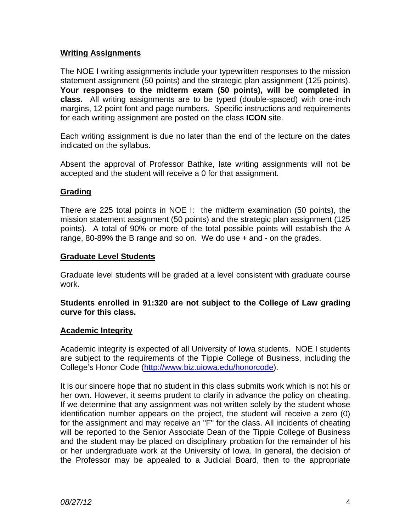# **Writing Assignments**

The NOE I writing assignments include your typewritten responses to the mission statement assignment (50 points) and the strategic plan assignment (125 points). **Your responses to the midterm exam (50 points), will be completed in class.** All writing assignments are to be typed (double-spaced) with one-inch margins, 12 point font and page numbers. Specific instructions and requirements for each writing assignment are posted on the class **ICON** site.

Each writing assignment is due no later than the end of the lecture on the dates indicated on the syllabus.

Absent the approval of Professor Bathke, late writing assignments will not be accepted and the student will receive a 0 for that assignment.

# **Grading**

There are 225 total points in NOE I: the midterm examination (50 points), the mission statement assignment (50 points) and the strategic plan assignment (125 points). A total of 90% or more of the total possible points will establish the A range, 80-89% the B range and so on. We do use + and - on the grades.

# **Graduate Level Students**

Graduate level students will be graded at a level consistent with graduate course work.

**Students enrolled in 91:320 are not subject to the College of Law grading curve for this class.** 

# **Academic Integrity**

Academic integrity is expected of all University of Iowa students. NOE I students are subject to the requirements of the Tippie College of Business, including the College's Honor Code (http://www.biz.uiowa.edu/honorcode).

It is our sincere hope that no student in this class submits work which is not his or her own. However, it seems prudent to clarify in advance the policy on cheating. If we determine that any assignment was not written solely by the student whose identification number appears on the project, the student will receive a zero (0) for the assignment and may receive an "F" for the class. All incidents of cheating will be reported to the Senior Associate Dean of the Tippie College of Business and the student may be placed on disciplinary probation for the remainder of his or her undergraduate work at the University of Iowa. In general, the decision of the Professor may be appealed to a Judicial Board, then to the appropriate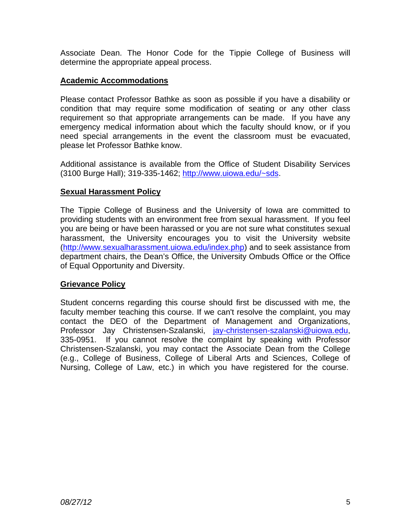Associate Dean. The Honor Code for the Tippie College of Business will determine the appropriate appeal process.

# **Academic Accommodations**

Please contact Professor Bathke as soon as possible if you have a disability or condition that may require some modification of seating or any other class requirement so that appropriate arrangements can be made. If you have any emergency medical information about which the faculty should know, or if you need special arrangements in the event the classroom must be evacuated, please let Professor Bathke know.

Additional assistance is available from the Office of Student Disability Services (3100 Burge Hall); 319-335-1462; http://www.uiowa.edu/~sds.

# **Sexual Harassment Policy**

The Tippie College of Business and the University of Iowa are committed to providing students with an environment free from sexual harassment. If you feel you are being or have been harassed or you are not sure what constitutes sexual harassment, the University encourages you to visit the University website (http://www.sexualharassment.uiowa.edu/index.php) and to seek assistance from department chairs, the Dean's Office, the University Ombuds Office or the Office of Equal Opportunity and Diversity.

# **Grievance Policy**

Student concerns regarding this course should first be discussed with me, the faculty member teaching this course. If we can't resolve the complaint, you may contact the DEO of the Department of Management and Organizations, Professor Jay Christensen-Szalanski, jay-christensen-szalanski@uiowa.edu, 335-0951. If you cannot resolve the complaint by speaking with Professor Christensen-Szalanski, you may contact the Associate Dean from the College (e.g., College of Business, College of Liberal Arts and Sciences, College of Nursing, College of Law, etc.) in which you have registered for the course.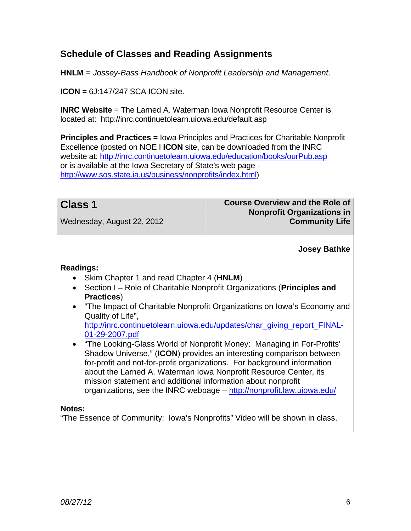# **Schedule of Classes and Reading Assignments**

**HNLM** = *Jossey-Bass Handbook of Nonprofit Leadership and Management*.

**ICON** = 6J:147/247 SCA ICON site.

**INRC Website** = The Larned A. Waterman Iowa Nonprofit Resource Center is located at: http://inrc.continuetolearn.uiowa.edu/default.asp

**Principles and Practices** = Iowa Principles and Practices for Charitable Nonprofit Excellence (posted on NOE I **ICON** site, can be downloaded from the INRC website at: http://inrc.continuetolearn.uiowa.edu/education/books/ourPub.asp or is available at the Iowa Secretary of State's web page http://www.sos.state.ia.us/business/nonprofits/index.html)

**Class 1** Course Overview and the Role of **Nonprofit Organizations in**  Wednesday, August 22, 2012 **Community Life**

# **Josey Bathke**

# **Readings:**

- Skim Chapter 1 and read Chapter 4 (**HNLM**)
- Section I Role of Charitable Nonprofit Organizations (**Principles and Practices**)
- "The Impact of Charitable Nonprofit Organizations on Iowa's Economy and Quality of Life", http://inrc.continuetolearn.uiowa.edu/updates/char\_giving\_report\_FINAL-
- 01-29-2007.pdf "The Looking-Glass World of Nonprofit Money: Managing in For-Profits' Shadow Universe," (**ICON**) provides an interesting comparison between for-profit and not-for-profit organizations. For background information about the Larned A. Waterman Iowa Nonprofit Resource Center, its mission statement and additional information about nonprofit organizations, see the INRC webpage - http://nonprofit.law.uiowa.edu/

# **Notes:**

"The Essence of Community: Iowa's Nonprofits" Video will be shown in class.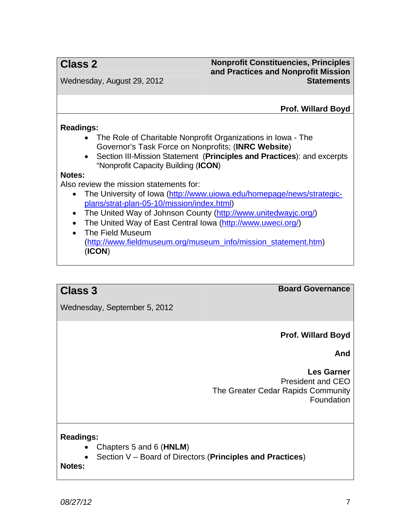# **Class 2 Nonprofit Constituencies, Principles and Practices and Nonprofit Mission**  Wednesday, August 29, 2012 **Statements Statements**

**Prof. Willard Boyd**

# **Readings:**

- The Role of Charitable Nonprofit Organizations in Iowa The Governor's Task Force on Nonprofits; (**INRC Website**)
- Section III-Mission Statement (**Principles and Practices**): and excerpts "Nonprofit Capacity Building (**ICON**)

### **Notes:**

Also review the mission statements for:

- The University of Iowa (http://www.uiowa.edu/homepage/news/strategicplans/strat-plan-05-10/mission/index.html)
- The United Way of Johnson County (http://www.unitedwayjc.org/)
- The United Way of East Central Iowa (http://www.uweci.org/)
- The Field Museum (http://www.fieldmuseum.org/museum\_info/mission\_statement.htm) (**ICON**)

**Class 3** Board Governance

Wednesday, September 5, 2012

**Prof. Willard Boyd**

**And** 

**Les Garner** President and CEO The Greater Cedar Rapids Community **Foundation** 

# **Readings:**

- Chapters 5 and 6 (**HNLM**)
- Section V Board of Directors (**Principles and Practices**)

**Notes:**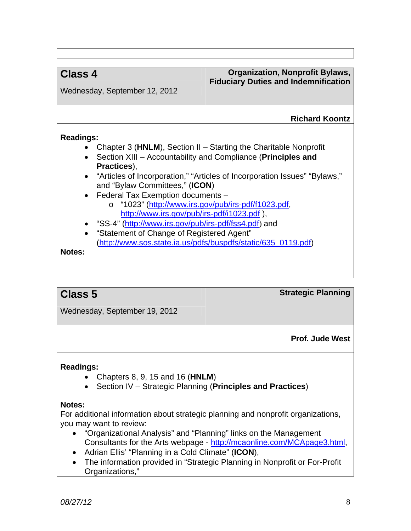# **Class 4** Organization, Nonprofit Bylaws, **Fiduciary Duties and Indemnification**

Wednesday, September 12, 2012

# **Richard Koontz**

# **Readings:**

- Chapter 3 (**HNLM**), Section II Starting the Charitable Nonprofit
- Section XIII Accountability and Compliance (**Principles and Practices**),
- "Articles of Incorporation," "Articles of Incorporation Issues" "Bylaws," and "Bylaw Committees," (**ICON**)
- Federal Tax Exemption documents
	- o "1023" (http://www.irs.gov/pub/irs-pdf/f1023.pdf, http://www.irs.gov/pub/irs-pdf/i1023.pdf ),
- "SS-4" (http://www.irs.gov/pub/irs-pdf/fss4.pdf) and
- "Statement of Change of Registered Agent" (http://www.sos.state.ia.us/pdfs/buspdfs/static/635\_0119.pdf)

**Notes:** 

**Class 5 Strategic Planning**

Wednesday, September 19, 2012

**Prof. Jude West**

# **Readings:**

- Chapters 8, 9, 15 and 16 (**HNLM**)
- Section IV Strategic Planning (**Principles and Practices**)

# **Notes:**

For additional information about strategic planning and nonprofit organizations, you may want to review:

- "Organizational Analysis" and "Planning" links on the Management Consultants for the Arts webpage - http://mcaonline.com/MCApage3.html,
- Adrian Ellis' "Planning in a Cold Climate" (**ICON**),
- The information provided in "Strategic Planning in Nonprofit or For-Profit Organizations,"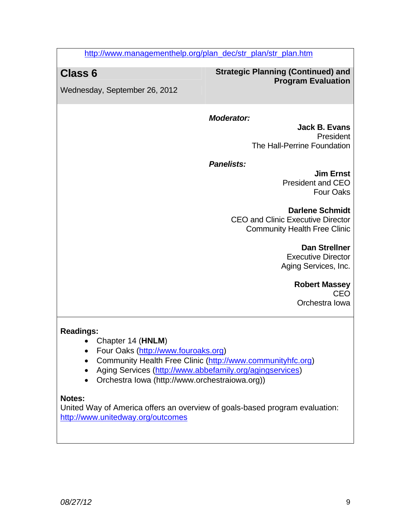http://www.managementhelp.org/plan\_dec/str\_plan/str\_plan.htm

# **Class 6 Strategic Planning (Continued) and Program Evaluation**

Wednesday, September 26, 2012

# *Moderator:*

**Jack B. Evans** President The Hall-Perrine Foundation

*Panelists:* 

**Jim Ernst** President and CEO Four Oaks

# **Darlene Schmidt**

CEO and Clinic Executive Director Community Health Free Clinic

> **Dan Strellner** Executive Director Aging Services, Inc.

> > **Robert Massey** CEO Orchestra Iowa

# **Readings:**

- Chapter 14 (**HNLM**)
- Four Oaks (http://www.fouroaks.org)
- Community Health Free Clinic (http://www.communityhfc.org)
- Aging Services (http://www.abbefamily.org/agingservices)
- Orchestra Iowa (http://www.orchestraiowa.org))

# **Notes:**

United Way of America offers an overview of goals-based program evaluation: http://www.unitedway.org/outcomes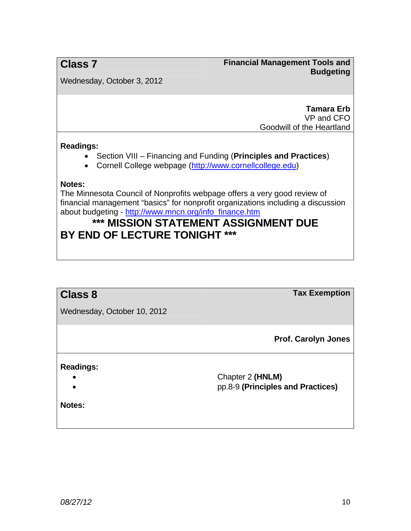**Class 7 Financial Management Tools and <b>Class** 7 **Budgeting** 

Wednesday, October 3, 2012

**Tamara Erb** VP and CFO Goodwill of the Heartland

### **Readings:**

- Section VIII Financing and Funding (**Principles and Practices**)
- Cornell College webpage (http://www.cornellcollege.edu)

### **Notes:**

The Minnesota Council of Nonprofits webpage offers a very good review of financial management "basics" for nonprofit organizations including a discussion about budgeting - http://www.mncn.org/info\_finance.htm

# **\*\*\* MISSION STATEMENT ASSIGNMENT DUE BY END OF LECTURE TONIGHT \*\*\***

|                             | <b>Tax Exemption</b>              |
|-----------------------------|-----------------------------------|
| <b>Class 8</b>              |                                   |
| Wednesday, October 10, 2012 |                                   |
|                             |                                   |
|                             |                                   |
|                             | <b>Prof. Carolyn Jones</b>        |
|                             |                                   |
| <b>Readings:</b>            |                                   |
|                             | Chapter 2 (HNLM)                  |
|                             | pp.8-9 (Principles and Practices) |
|                             |                                   |
| <b>Notes:</b>               |                                   |
|                             |                                   |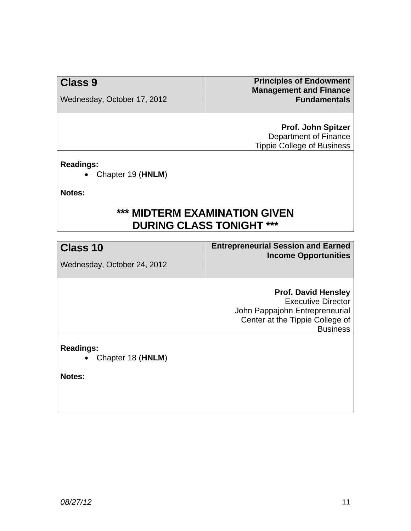Wednesday, October 17, 2012 **Fundamentals** 

**Class 9 Principles of Endowment Principles of Endowment Management and Finance** 

> **Prof. John Spitzer** Department of Finance Tippie College of Business

# **Readings:**

Chapter 19 (**HNLM**)

**Notes:** 

# **\*\*\* MIDTERM EXAMINATION GIVEN DURING CLASS TONIGHT \*\*\***

**Class 10 Entrepreneurial Session and Earned Income Opportunities**

Wednesday, October 24, 2012

# **Prof. David Hensley**

Executive Director John Pappajohn Entrepreneurial Center at the Tippie College of **Business** 

**Readings:** 

Chapter 18 (**HNLM**)

**Notes:**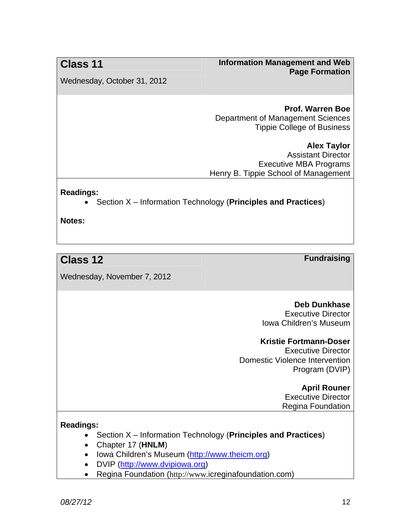# **Class 11** Information Management and Web **Page Formation**

Wednesday, October 31, 2012

### **Prof. Warren Boe** Department of Management Sciences Tippie College of Business

**Alex Taylor** Assistant Director Executive MBA Programs Henry B. Tippie School of Management

**Readings:** 

Section X – Information Technology (**Principles and Practices**)

**Notes:** 

# **Class 12 Fundraising**

Wednesday, November 7, 2012

# **Deb Dunkhase**

Executive Director Iowa Children's Museum

# **Kristie Fortmann-Doser**

Executive Director Domestic Violence Intervention Program (DVIP)

### **April Rouner** Executive Director Regina Foundation

# **Readings:**

- Section X Information Technology (**Principles and Practices**)
- Chapter 17 (**HNLM**)
- Iowa Children's Museum (http://www.theicm.org)
- DVIP (http://www.dvipiowa.org)
- Regina Foundation (http://www.icreginafoundation.com)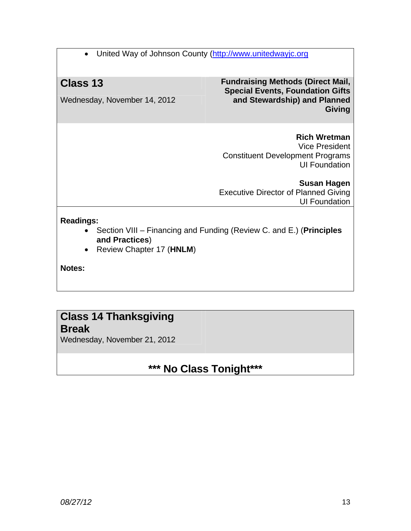• United Way of Johnson County (http://www.unitedwayjc.org

Wednesday, November 14, 2012

**Class 13 Fundraising Methods (Direct Mail, Special Events, Foundation Gifts and Stewardship) and Planned Giving**

> **Rich Wretman** Vice President Constituent Development Programs UI Foundation

**Susan Hagen** Executive Director of Planned Giving UI Foundation

# **Readings:**

- Section VIII Financing and Funding (Review C. and E.) (**Principles and Practices**)
- Review Chapter 17 (**HNLM**)

**Notes:** 

# **Class 14 Thanksgiving**

# **Break**

Wednesday, November 21, 2012

# **\*\*\* No Class Tonight\*\*\***